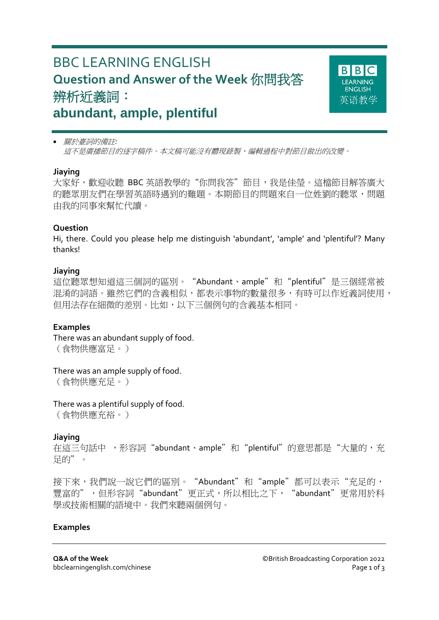# BBC LEARNING ENGLISH **Question and Answer of the Week** 你問我答 辨析近義詞: **abundant, ample, plentiful**



 關於臺詞的備註*:* 這不是廣播節目的逐字稿件。本文稿可能沒有體現錄製、編輯過程中對節目做出的改變。

#### **Jiaying**

大家好,歡迎收聽 BBC 英語教學的"你問我答"節目,我是佳瑩。這檔節目解答廣大 的聽眾朋友們在學習英語時遇到的難題。本期節目的問題來自一位姓劉的聽眾,問題 由我的同事來幫忙代讀。

#### **Question**

Hi, there. Could you please help me distinguish 'abundant', 'ample' and 'plentiful'? Many thanks!

#### **Jiaying**

這位聽眾想知道這三個詞的區別。"Abundant、ample"和"plentiful"是三個經常被 混淆的詞語。雖然它們的含義相似,都表示事物的數量很多,有時可以作近義詞使用, 但用法存在細微的差別。比如,以下三個例句的含義基本相同。

#### **Examples**

There was an abundant supply of food. (食物供應富足。)

There was an ample supply of food. (食物供應充足。)

There was a plentiful supply of food. (食物供應充裕。)

## **Jiaying**

在這三句話中, 形容詞"abundant、ample"和"plentiful"的意思都是"大量的, 充 足的"。

接下來,我們說一說它們的區別。"Abundant"和"ample"都可以表示"充足的, 豐富的",但形容詞"abundant"更正式,所以相比之下, "abundant"更常用於科 學或技術相關的語境中。我們來聽兩個例句。

#### **Examples**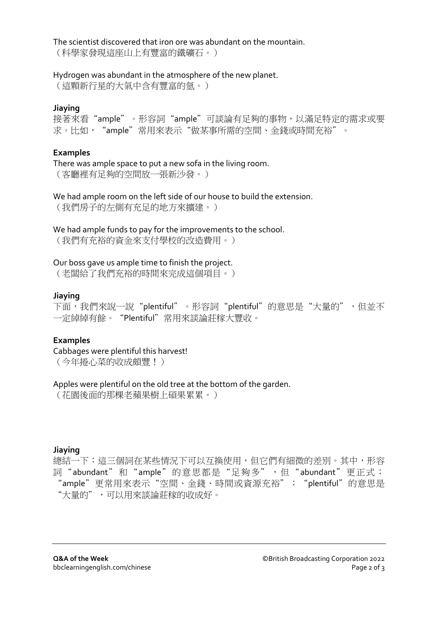The scientist discovered that iron ore was abundant on the mountain.

(科學家發現這座山上有豐富的鐵礦石。)

## Hydrogen was abundant in the atmosphere of the new planet.

(這顆新行星的大氣中含有豐富的氫。)

# **Jiaying**

接著來看"ample"。形容詞"ample"可談論有足夠的事物,以滿足特定的需求或要 求。比如, "ample"常用來表示"做某事所需的空間、金錢或時間充裕"。

# **Examples**

There was ample space to put a new sofa in the living room. (客廳裡有足夠的空間放一張新沙發。)

We had ample room on the left side of our house to build the extension. (我們房子的左側有充足的地方來擴建。)

## We had ample funds to pay for the improvements to the school.

(我們有充裕的資金來支付學校的改造費用。)

## Our boss gave us ample time to finish the project.

(老闆給了我們充裕的時間來完成這個項目。)

## **Jiaying**

下面,我們來說一說"plentiful"。形容詞"plentiful"的意思是"大量的",但並不 一定綽綽有餘。"Plentiful"常用來談論莊稼大豐收。

# **Examples**

Cabbages were plentiful this harvest! (今年捲心菜的收成頗豐!)

## Apples were plentiful on the old tree at the bottom of the garden.

(花園後面的那棵老蘋果樹上碩果累累。)

## **Jiaying**

總結一下:這三個詞在某些情況下可以互換使用,但它們有細微的差別。其中,形容 詞"abundant"和"ample"的意思都是"足夠多",但"abundant"更正式; "ample"更常用來表示"空間、金錢、時間或資源充裕"; "plentiful"的意思是 "大量的",可以用來談論莊稼的收成好。